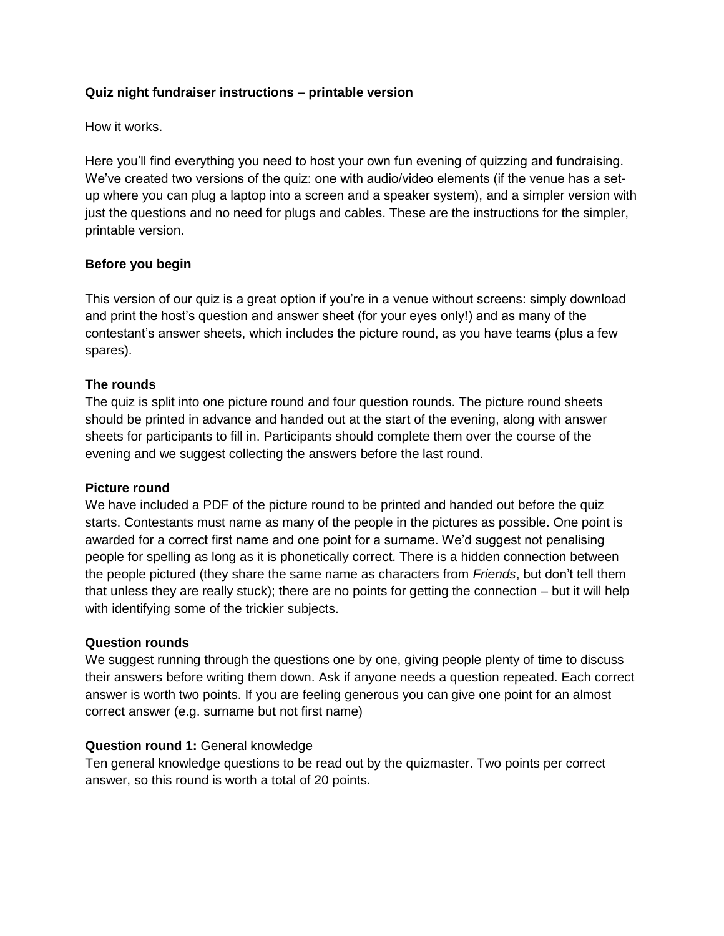# **Quiz night fundraiser instructions – printable version**

How it works.

Here you'll find everything you need to host your own fun evening of quizzing and fundraising. We've created two versions of the quiz: one with audio/video elements (if the venue has a setup where you can plug a laptop into a screen and a speaker system), and a simpler version with just the questions and no need for plugs and cables. These are the instructions for the simpler, printable version.

# **Before you begin**

This version of our quiz is a great option if you're in a venue without screens: simply download and print the host's question and answer sheet (for your eyes only!) and as many of the contestant's answer sheets, which includes the picture round, as you have teams (plus a few spares).

# **The rounds**

The quiz is split into one picture round and four question rounds. The picture round sheets should be printed in advance and handed out at the start of the evening, along with answer sheets for participants to fill in. Participants should complete them over the course of the evening and we suggest collecting the answers before the last round.

# **Picture round**

We have included a PDF of the picture round to be printed and handed out before the quiz starts. Contestants must name as many of the people in the pictures as possible. One point is awarded for a correct first name and one point for a surname. We'd suggest not penalising people for spelling as long as it is phonetically correct. There is a hidden connection between the people pictured (they share the same name as characters from *Friends*, but don't tell them that unless they are really stuck); there are no points for getting the connection – but it will help with identifying some of the trickier subjects.

# **Question rounds**

We suggest running through the questions one by one, giving people plenty of time to discuss their answers before writing them down. Ask if anyone needs a question repeated. Each correct answer is worth two points. If you are feeling generous you can give one point for an almost correct answer (e.g. surname but not first name)

# **Question round 1:** General knowledge

Ten general knowledge questions to be read out by the quizmaster. Two points per correct answer, so this round is worth a total of 20 points.